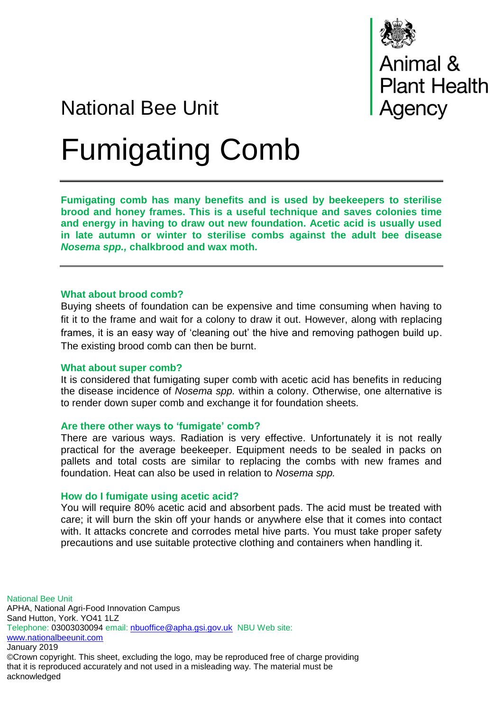

# National Bee Unit

# Fumigating Comb

**Fumigating comb has many benefits and is used by beekeepers to sterilise brood and honey frames. This is a useful technique and saves colonies time and energy in having to draw out new foundation. Acetic acid is usually used in late autumn or winter to sterilise combs against the adult bee disease**  *Nosema spp.,* **chalkbrood and wax moth.**

# **What about brood comb?**

Buying sheets of foundation can be expensive and time consuming when having to fit it to the frame and wait for a colony to draw it out. However, along with replacing frames, it is an easy way of 'cleaning out' the hive and removing pathogen build up. The existing brood comb can then be burnt.

#### **What about super comb?**

It is considered that fumigating super comb with acetic acid has benefits in reducing the disease incidence of *Nosema spp.* within a colony. Otherwise, one alternative is to render down super comb and exchange it for foundation sheets.

# **Are there other ways to 'fumigate' comb?**

There are various ways. Radiation is very effective. Unfortunately it is not really practical for the average beekeeper. Equipment needs to be sealed in packs on pallets and total costs are similar to replacing the combs with new frames and foundation. Heat can also be used in relation to *Nosema spp.*

# **How do I fumigate using acetic acid?**

You will require 80% acetic acid and absorbent pads. The acid must be treated with care; it will burn the skin off your hands or anywhere else that it comes into contact with. It attacks concrete and corrodes metal hive parts. You must take proper safety precautions and use suitable protective clothing and containers when handling it.

National Bee Unit APHA, National Agri-Food Innovation Campus Sand Hutton, York. YO41 1LZ Telephone: 03003030094 email: [nbuoffice@apha.gsi.gov.uk](mailto:nbuoffice@apha.gsi.gov.uk) NBU Web site: [www.nationalbeeunit.com](http://www.nationalbeeunit.com/) January 2019 ©Crown copyright. This sheet, excluding the logo, may be reproduced free of charge providing that it is reproduced accurately and not used in a misleading way. The material must be acknowledged